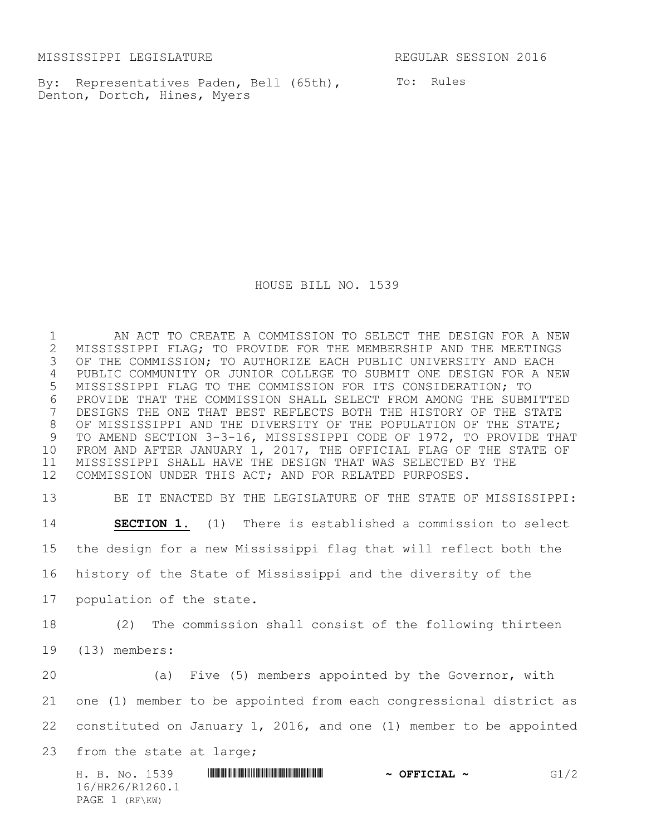MISSISSIPPI LEGISLATURE REGULAR SESSION 2016

PAGE 1 (RF\KW)

By: Representatives Paden, Bell (65th), To: Rules Denton, Dortch, Hines, Myers

HOUSE BILL NO. 1539

 AN ACT TO CREATE A COMMISSION TO SELECT THE DESIGN FOR A NEW 2 MISSISSIPPI FLAG; TO PROVIDE FOR THE MEMBERSHIP AND THE MEETINGS<br>3 OF THE COMMISSION; TO AUTHORIZE EACH PUBLIC UNIVERSITY AND EACH OF THE COMMISSION; TO AUTHORIZE EACH PUBLIC UNIVERSITY AND EACH PUBLIC COMMUNITY OR JUNIOR COLLEGE TO SUBMIT ONE DESIGN FOR A NEW MISSISSIPPI FLAG TO THE COMMISSION FOR ITS CONSIDERATION; TO 6 PROVIDE THAT THE COMMISSION SHALL SELECT FROM AMONG THE SUBMITTED<br>7 DESIGNS THE ONE THAT BEST REFLECTS BOTH THE HISTORY OF THE STATE DESIGNS THE ONE THAT BEST REFLECTS BOTH THE HISTORY OF THE STATE OF MISSISSIPPI AND THE DIVERSITY OF THE POPULATION OF THE STATE; TO AMEND SECTION 3-3-16, MISSISSIPPI CODE OF 1972, TO PROVIDE THAT FROM AND AFTER JANUARY 1, 2017, THE OFFICIAL FLAG OF THE STATE OF MISSISSIPPI SHALL HAVE THE DESIGN THAT WAS SELECTED BY THE COMMISSION UNDER THIS ACT; AND FOR RELATED PURPOSES.

H. B. No. 1539 \*HR26/R1260.1\* **~ OFFICIAL ~** G1/2 16/HR26/R1260.1 BE IT ENACTED BY THE LEGISLATURE OF THE STATE OF MISSISSIPPI: **SECTION 1.** (1) There is established a commission to select the design for a new Mississippi flag that will reflect both the history of the State of Mississippi and the diversity of the population of the state. (2) The commission shall consist of the following thirteen (13) members: (a) Five (5) members appointed by the Governor, with one (1) member to be appointed from each congressional district as constituted on January 1, 2016, and one (1) member to be appointed 23 from the state at large;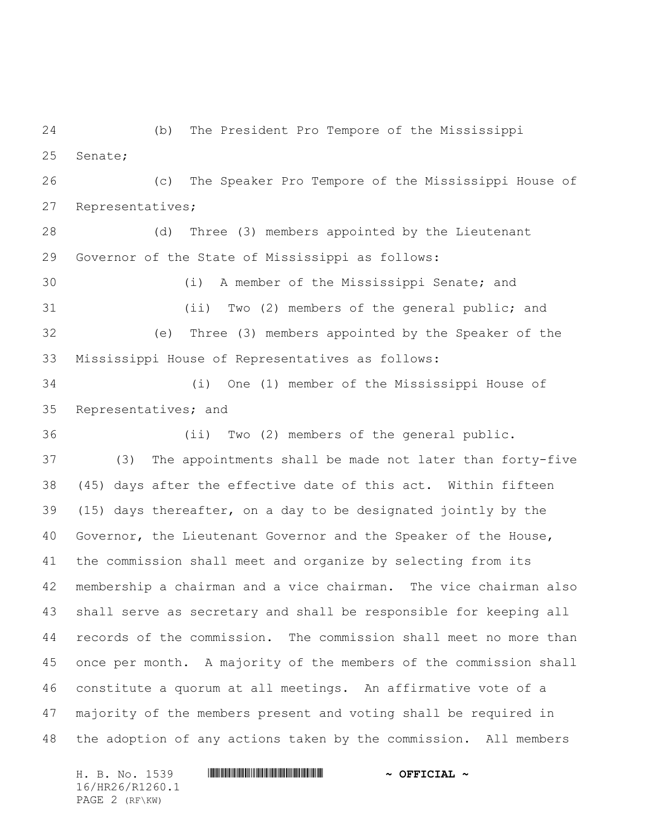(b) The President Pro Tempore of the Mississippi Senate;

 (c) The Speaker Pro Tempore of the Mississippi House of Representatives;

 (d) Three (3) members appointed by the Lieutenant Governor of the State of Mississippi as follows:

30 (i) A member of the Mississippi Senate; and 31 (ii) Two (2) members of the general public; and (e) Three (3) members appointed by the Speaker of the Mississippi House of Representatives as follows:

34 (i) One (1) member of the Mississippi House of Representatives; and

36 (ii) Two (2) members of the general public. (3) The appointments shall be made not later than forty-five (45) days after the effective date of this act. Within fifteen (15) days thereafter, on a day to be designated jointly by the Governor, the Lieutenant Governor and the Speaker of the House, the commission shall meet and organize by selecting from its membership a chairman and a vice chairman. The vice chairman also shall serve as secretary and shall be responsible for keeping all records of the commission. The commission shall meet no more than once per month. A majority of the members of the commission shall constitute a quorum at all meetings. An affirmative vote of a majority of the members present and voting shall be required in the adoption of any actions taken by the commission. All members

H. B. No. 1539 \*HR26/R1260.1\* **~ OFFICIAL ~** 16/HR26/R1260.1 PAGE 2 (RF\KW)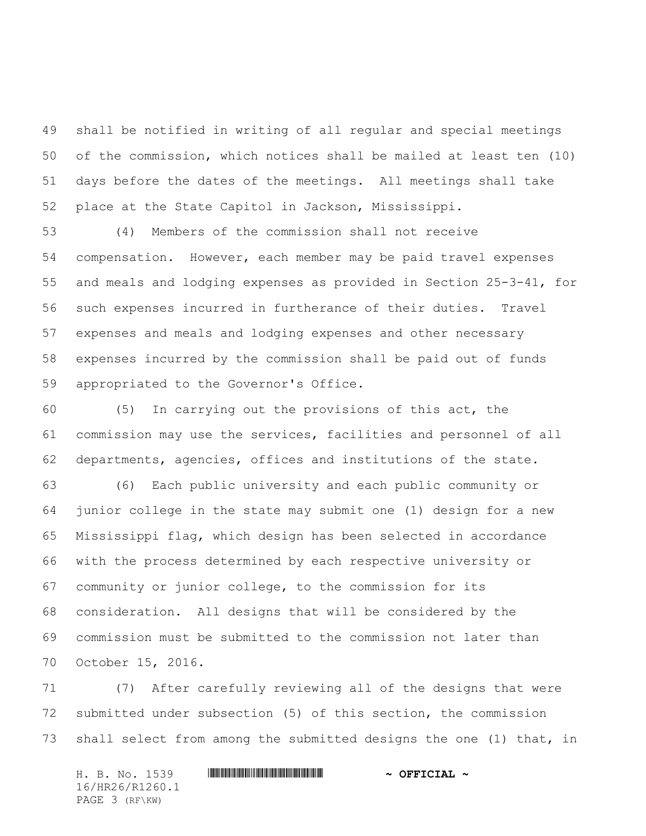shall be notified in writing of all regular and special meetings of the commission, which notices shall be mailed at least ten (10) days before the dates of the meetings. All meetings shall take place at the State Capitol in Jackson, Mississippi.

 (4) Members of the commission shall not receive compensation. However, each member may be paid travel expenses and meals and lodging expenses as provided in Section 25-3-41, for such expenses incurred in furtherance of their duties. Travel expenses and meals and lodging expenses and other necessary expenses incurred by the commission shall be paid out of funds appropriated to the Governor's Office.

 (5) In carrying out the provisions of this act, the commission may use the services, facilities and personnel of all departments, agencies, offices and institutions of the state.

 (6) Each public university and each public community or junior college in the state may submit one (1) design for a new Mississippi flag, which design has been selected in accordance with the process determined by each respective university or community or junior college, to the commission for its consideration. All designs that will be considered by the commission must be submitted to the commission not later than October 15, 2016.

 (7) After carefully reviewing all of the designs that were submitted under subsection (5) of this section, the commission shall select from among the submitted designs the one (1) that, in

H. B. No. 1539 **. AND AND AN ABLE AND ARRIVE AT A DEFICIAL ~** 16/HR26/R1260.1 PAGE 3 (RF\KW)